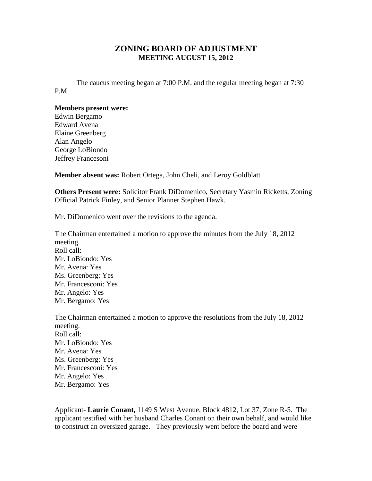## **ZONING BOARD OF ADJUSTMENT MEETING AUGUST 15, 2012**

The caucus meeting began at 7:00 P.M. and the regular meeting began at 7:30 P.M.

## **Members present were:**

Edwin Bergamo Edward Avena Elaine Greenberg Alan Angelo George LoBiondo Jeffrey Francesoni

**Member absent was:** Robert Ortega, John Cheli, and Leroy Goldblatt

**Others Present were:** Solicitor Frank DiDomenico, Secretary Yasmin Ricketts, Zoning Official Patrick Finley, and Senior Planner Stephen Hawk.

Mr. DiDomenico went over the revisions to the agenda.

The Chairman entertained a motion to approve the minutes from the July 18, 2012 meeting. Roll call: Mr. LoBiondo: Yes Mr. Avena: Yes Ms. Greenberg: Yes Mr. Francesconi: Yes Mr. Angelo: Yes Mr. Bergamo: Yes The Chairman entertained a motion to approve the resolutions from the July 18, 2012

meeting. Roll call: Mr. LoBiondo: Yes Mr. Avena: Yes Ms. Greenberg: Yes Mr. Francesconi: Yes Mr. Angelo: Yes Mr. Bergamo: Yes

Applicant- **Laurie Conant,** 1149 S West Avenue, Block 4812, Lot 37, Zone R-5. The applicant testified with her husband Charles Conant on their own behalf, and would like to construct an oversized garage. They previously went before the board and were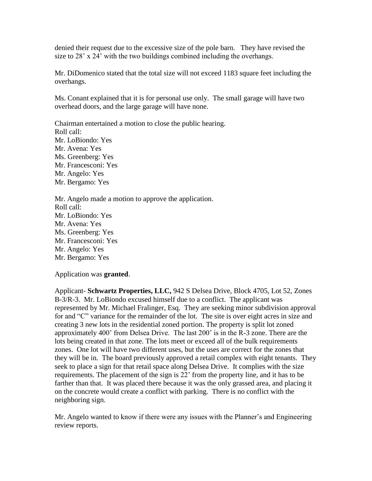denied their request due to the excessive size of the pole barn. They have revised the size to 28' x 24' with the two buildings combined including the overhangs.

Mr. DiDomenico stated that the total size will not exceed 1183 square feet including the overhangs.

Ms. Conant explained that it is for personal use only. The small garage will have two overhead doors, and the large garage will have none.

Chairman entertained a motion to close the public hearing. Roll call: Mr. LoBiondo: Yes Mr. Avena: Yes Ms. Greenberg: Yes Mr. Francesconi: Yes Mr. Angelo: Yes Mr. Bergamo: Yes

Mr. Angelo made a motion to approve the application. Roll call: Mr. LoBiondo: Yes Mr. Avena: Yes Ms. Greenberg: Yes Mr. Francesconi: Yes Mr. Angelo: Yes Mr. Bergamo: Yes

Application was **granted**.

Applicant- **Schwartz Properties, LLC,** 942 S Delsea Drive, Block 4705, Lot 52, Zones B-3/R-3. Mr. LoBiondo excused himself due to a conflict. The applicant was represented by Mr. Michael Fralinger, Esq. They are seeking minor subdivision approval for and "C" variance for the remainder of the lot. The site is over eight acres in size and creating 3 new lots in the residential zoned portion. The property is split lot zoned approximately 400' from Delsea Drive. The last 200' is in the R-3 zone. There are the lots being created in that zone. The lots meet or exceed all of the bulk requirements zones. One lot will have two different uses, but the uses are correct for the zones that they will be in. The board previously approved a retail complex with eight tenants. They seek to place a sign for that retail space along Delsea Drive. It complies with the size requirements. The placement of the sign is 22' from the property line, and it has to be farther than that. It was placed there because it was the only grassed area, and placing it on the concrete would create a conflict with parking. There is no conflict with the neighboring sign.

Mr. Angelo wanted to know if there were any issues with the Planner's and Engineering review reports.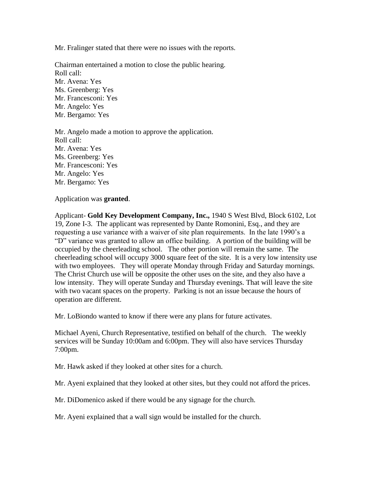Mr. Fralinger stated that there were no issues with the reports.

Chairman entertained a motion to close the public hearing. Roll call: Mr. Avena: Yes Ms. Greenberg: Yes Mr. Francesconi: Yes Mr. Angelo: Yes Mr. Bergamo: Yes

Mr. Angelo made a motion to approve the application. Roll call: Mr. Avena: Yes Ms. Greenberg: Yes Mr. Francesconi: Yes Mr. Angelo: Yes Mr. Bergamo: Yes

Application was **granted**.

Applicant- **Gold Key Development Company, Inc.,** 1940 S West Blvd, Block 6102, Lot 19, Zone I-3. The applicant was represented by Dante Romonini, Esq., and they are requesting a use variance with a waiver of site plan requirements. In the late 1990's a "D" variance was granted to allow an office building. A portion of the building will be occupied by the cheerleading school. The other portion will remain the same. The cheerleading school will occupy 3000 square feet of the site. It is a very low intensity use with two employees. They will operate Monday through Friday and Saturday mornings. The Christ Church use will be opposite the other uses on the site, and they also have a low intensity. They will operate Sunday and Thursday evenings. That will leave the site with two vacant spaces on the property. Parking is not an issue because the hours of operation are different.

Mr. LoBiondo wanted to know if there were any plans for future activates.

Michael Ayeni, Church Representative, testified on behalf of the church. The weekly services will be Sunday 10:00am and 6:00pm. They will also have services Thursday 7:00pm.

Mr. Hawk asked if they looked at other sites for a church.

Mr. Ayeni explained that they looked at other sites, but they could not afford the prices.

Mr. DiDomenico asked if there would be any signage for the church.

Mr. Ayeni explained that a wall sign would be installed for the church.